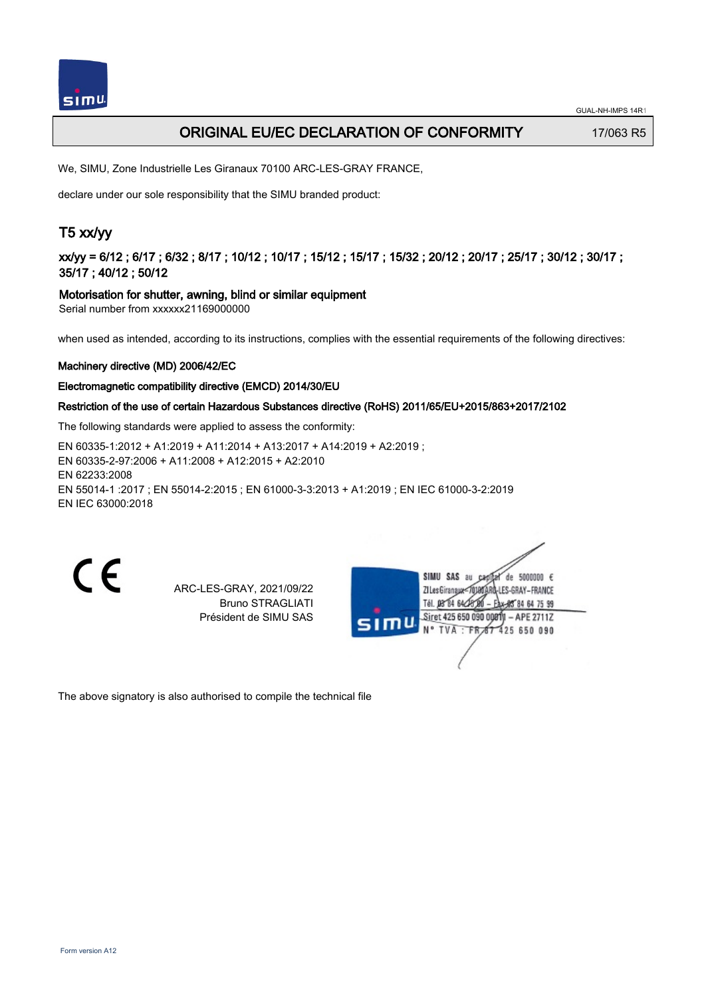## **ORIGINAL EU/EC DECLARATION OF CONFORMITY** 17/063 R5

We, SIMU, Zone Industrielle Les Giranaux 70100 ARC-LES-GRAY FRANCE,

declare under our sole responsibility that the SIMU branded product:

# T5 xx/yy

xx/yy = 6/12 ; 6/17 ; 6/32 ; 8/17 ; 10/12 ; 10/17 ; 15/12 ; 15/17 ; 15/32 ; 20/12 ; 20/17 ; 25/17 ; 30/12 ; 30/17 ; 35/17 ; 40/12 ; 50/12

### Motorisation for shutter, awning, blind or similar equipment

Serial number from xxxxxx21169000000

when used as intended, according to its instructions, complies with the essential requirements of the following directives:

### Machinery directive (MD) 2006/42/EC

### Electromagnetic compatibility directive (EMCD) 2014/30/EU

### Restriction of the use of certain Hazardous Substances directive (RoHS) 2011/65/EU+2015/863+2017/2102

The following standards were applied to assess the conformity:

EN 60335‑1:2012 + A1:2019 + A11:2014 + A13:2017 + A14:2019 + A2:2019 ; EN 60335‑2‑97:2006 + A11:2008 + A12:2015 + A2:2010 EN 62233:2008 EN 55014‑1 :2017 ; EN 55014‑2:2015 ; EN 61000‑3‑3:2013 + A1:2019 ; EN IEC 61000‑3‑2:2019 EN IEC 63000:2018

 $\epsilon$ 

ARC-LES-GRAY, 2021/09/22 Bruno STRAGLIATI Président de SIMU SAS

| SIMU | 5000000 $\epsilon$<br>SIMU SAS<br>au<br>de<br>180ARD-LES-GRAY – FRANCE<br>ZI Les Giranaux <th></th>             |  |
|------|-----------------------------------------------------------------------------------------------------------------|--|
|      | Tél. 08 84 64 28 00<br>- Eax-88 84 64 75 99<br>Siret 425 650 090 00811 - APE 2711Z<br>N° TVA: FR 67 425 650 090 |  |
|      |                                                                                                                 |  |

The above signatory is also authorised to compile the technical file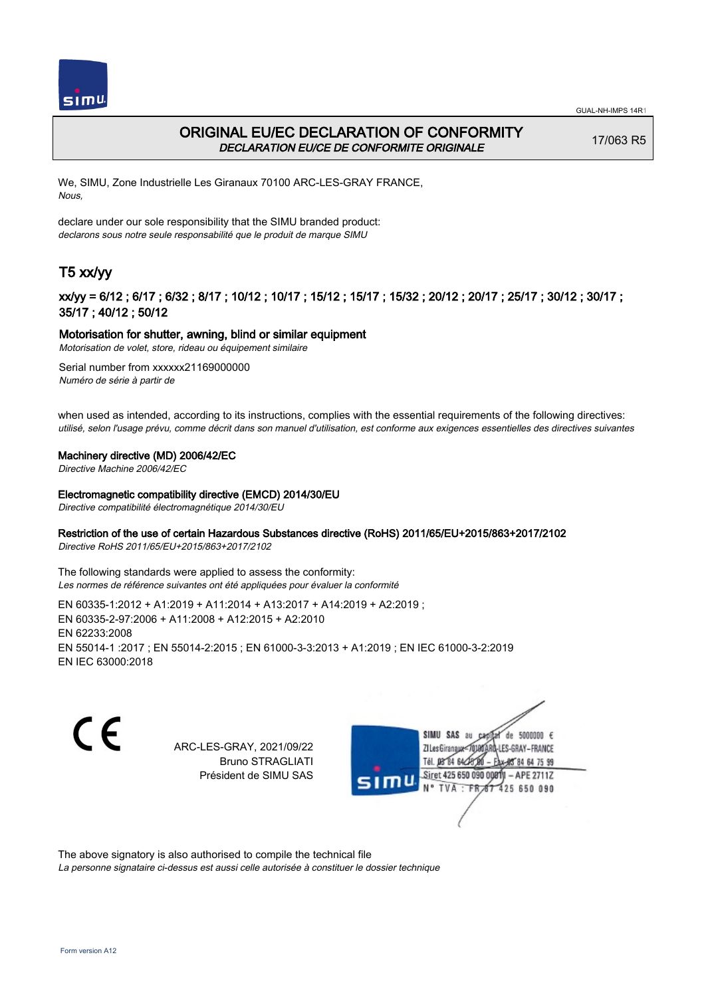



## ORIGINAL EU/EC DECLARATION OF CONFORMITY DECLARATION EU/CE DE CONFORMITE ORIGINALE

17/063 R5

We, SIMU, Zone Industrielle Les Giranaux 70100 ARC-LES-GRAY FRANCE, Nous,

declare under our sole responsibility that the SIMU branded product: declarons sous notre seule responsabilité que le produit de marque SIMU

# T5 xx/yy

## xx/yy = 6/12 ; 6/17 ; 6/32 ; 8/17 ; 10/12 ; 10/17 ; 15/12 ; 15/17 ; 15/32 ; 20/12 ; 20/17 ; 25/17 ; 30/12 ; 30/17 ; 35/17 ; 40/12 ; 50/12

## Motorisation for shutter, awning, blind or similar equipment

Motorisation de volet, store, rideau ou équipement similaire

Serial number from xxxxxx21169000000 Numéro de série à partir de

when used as intended, according to its instructions, complies with the essential requirements of the following directives: utilisé, selon l'usage prévu, comme décrit dans son manuel d'utilisation, est conforme aux exigences essentielles des directives suivantes

### Machinery directive (MD) 2006/42/EC

Directive Machine 2006/42/EC

### Electromagnetic compatibility directive (EMCD) 2014/30/EU

Directive compatibilité électromagnétique 2014/30/EU

### Restriction of the use of certain Hazardous Substances directive (RoHS) 2011/65/EU+2015/863+2017/2102

Directive RoHS 2011/65/EU+2015/863+2017/2102

The following standards were applied to assess the conformity: Les normes de référence suivantes ont été appliquées pour évaluer la conformité

EN 60335‑1:2012 + A1:2019 + A11:2014 + A13:2017 + A14:2019 + A2:2019 ; EN 60335‑2‑97:2006 + A11:2008 + A12:2015 + A2:2010 EN 62233:2008 EN 55014‑1 :2017 ; EN 55014‑2:2015 ; EN 61000‑3‑3:2013 + A1:2019 ; EN IEC 61000‑3‑2:2019 EN IEC 63000:2018

C F

ARC-LES-GRAY, 2021/09/22 Bruno STRAGLIATI Président de SIMU SAS

de 5000000  $\epsilon$ **ZILes Giranaux** ES-GRAY-FRANCE Tél. 08 84 64 24 84 64 75 99 Siret 425 650 090 00811 - APE 2711Z 425 650 090 N° TVA

The above signatory is also authorised to compile the technical file

La personne signataire ci-dessus est aussi celle autorisée à constituer le dossier technique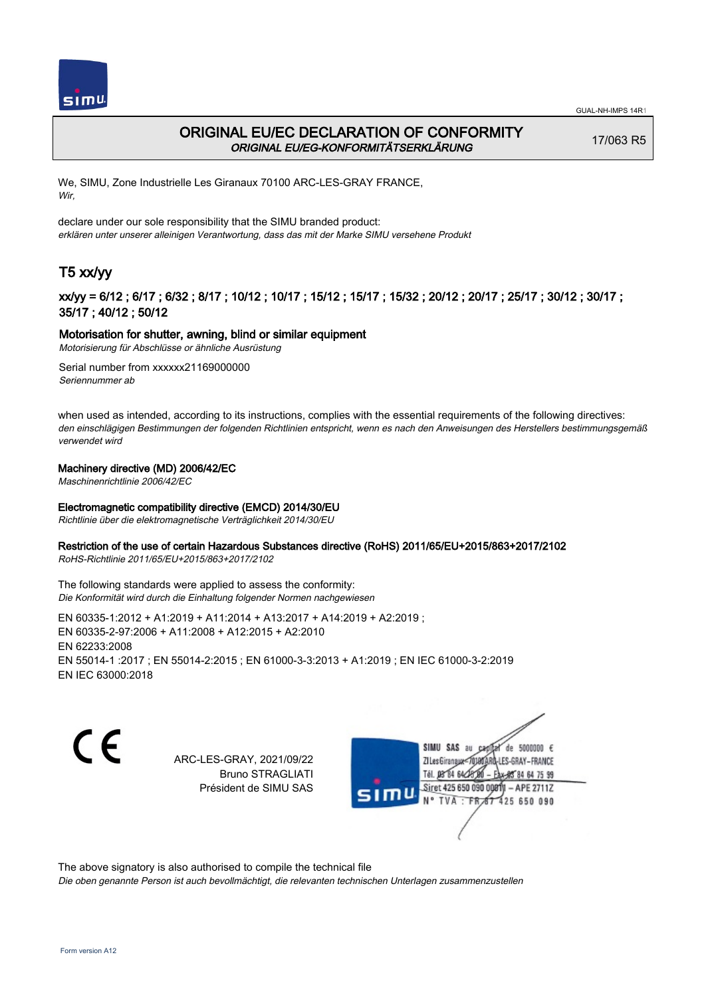



## ORIGINAL EU/EC DECLARATION OF CONFORMITY ORIGINAL EU/EG-KONFORMITÄTSERKLÄRUNG

17/063 R5

We, SIMU, Zone Industrielle Les Giranaux 70100 ARC-LES-GRAY FRANCE, Wir,

declare under our sole responsibility that the SIMU branded product: erklären unter unserer alleinigen Verantwortung, dass das mit der Marke SIMU versehene Produkt

# T5 xx/yy

## xx/yy = 6/12 ; 6/17 ; 6/32 ; 8/17 ; 10/12 ; 10/17 ; 15/12 ; 15/17 ; 15/32 ; 20/12 ; 20/17 ; 25/17 ; 30/12 ; 30/17 ; 35/17 ; 40/12 ; 50/12

### Motorisation for shutter, awning, blind or similar equipment

Motorisierung für Abschlüsse or ähnliche Ausrüstung

Serial number from xxxxxx21169000000 Seriennummer ab

when used as intended, according to its instructions, complies with the essential requirements of the following directives: den einschlägigen Bestimmungen der folgenden Richtlinien entspricht, wenn es nach den Anweisungen des Herstellers bestimmungsgemäß verwendet wird

### Machinery directive (MD) 2006/42/EC

Maschinenrichtlinie 2006/42/EC

## Electromagnetic compatibility directive (EMCD) 2014/30/EU

Richtlinie über die elektromagnetische Verträglichkeit 2014/30/EU

#### Restriction of the use of certain Hazardous Substances directive (RoHS) 2011/65/EU+2015/863+2017/2102

RoHS-Richtlinie 2011/65/EU+2015/863+2017/2102

#### The following standards were applied to assess the conformity: Die Konformität wird durch die Einhaltung folgender Normen nachgewiesen

EN 60335‑1:2012 + A1:2019 + A11:2014 + A13:2017 + A14:2019 + A2:2019 ; EN 60335‑2‑97:2006 + A11:2008 + A12:2015 + A2:2010 EN 62233:2008 EN 55014‑1 :2017 ; EN 55014‑2:2015 ; EN 61000‑3‑3:2013 + A1:2019 ; EN IEC 61000‑3‑2:2019 EN IEC 63000:2018

C F

ARC-LES-GRAY, 2021/09/22 Bruno STRAGLIATI Président de SIMU SAS

SIMU SAS de 5000000  $\epsilon$ **ZILes Giranaux** ES-GRAY-FRANCE 64 75 99 Siret 425 650 090 00811  $-$  APE 2711Z 425 650 090

The above signatory is also authorised to compile the technical file

Die oben genannte Person ist auch bevollmächtigt, die relevanten technischen Unterlagen zusammenzustellen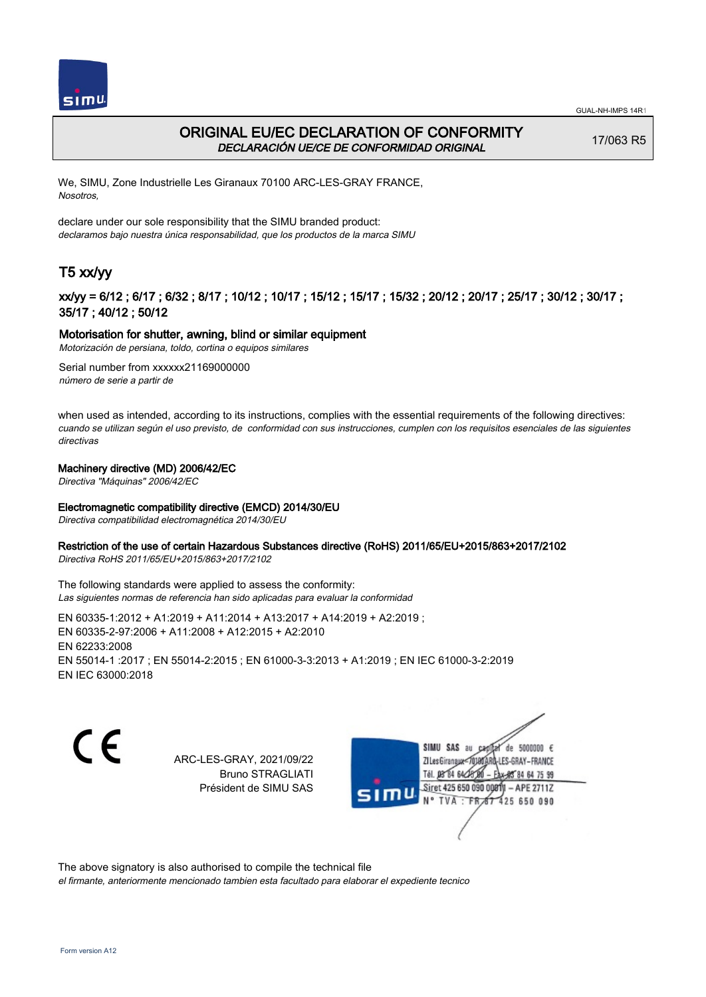



## ORIGINAL EU/EC DECLARATION OF CONFORMITY DECLARACIÓN UE/CE DE CONFORMIDAD ORIGINAL

17/063 R5

We, SIMU, Zone Industrielle Les Giranaux 70100 ARC-LES-GRAY FRANCE, Nosotros,

declare under our sole responsibility that the SIMU branded product: declaramos bajo nuestra única responsabilidad, que los productos de la marca SIMU

# T5 xx/yy

## xx/yy = 6/12 ; 6/17 ; 6/32 ; 8/17 ; 10/12 ; 10/17 ; 15/12 ; 15/17 ; 15/32 ; 20/12 ; 20/17 ; 25/17 ; 30/12 ; 30/17 ; 35/17 ; 40/12 ; 50/12

### Motorisation for shutter, awning, blind or similar equipment

Motorización de persiana, toldo, cortina o equipos similares

Serial number from xxxxxx21169000000 número de serie a partir de

when used as intended, according to its instructions, complies with the essential requirements of the following directives: cuando se utilizan según el uso previsto, de conformidad con sus instrucciones, cumplen con los requisitos esenciales de las siguientes directivas

## Machinery directive (MD) 2006/42/EC

Directiva "Máquinas" 2006/42/EC

### Electromagnetic compatibility directive (EMCD) 2014/30/EU

Directiva compatibilidad electromagnética 2014/30/EU

### Restriction of the use of certain Hazardous Substances directive (RoHS) 2011/65/EU+2015/863+2017/2102

Directiva RoHS 2011/65/EU+2015/863+2017/2102

The following standards were applied to assess the conformity: Las siguientes normas de referencia han sido aplicadas para evaluar la conformidad

EN 60335‑1:2012 + A1:2019 + A11:2014 + A13:2017 + A14:2019 + A2:2019 ; EN 60335‑2‑97:2006 + A11:2008 + A12:2015 + A2:2010 EN 62233:2008 EN 55014‑1 :2017 ; EN 55014‑2:2015 ; EN 61000‑3‑3:2013 + A1:2019 ; EN IEC 61000‑3‑2:2019 EN IEC 63000:2018

C F

ARC-LES-GRAY, 2021/09/22 Bruno STRAGLIATI Président de SIMU SAS

SIMU SAS au de 5000000  $\epsilon$ **ZILes Giranaux** ES-GRAY-FRANCE 64 75 99 Siret 425 650 090 00811  $-$  APE 2711Z 425 650 090

The above signatory is also authorised to compile the technical file

el firmante, anteriormente mencionado tambien esta facultado para elaborar el expediente tecnico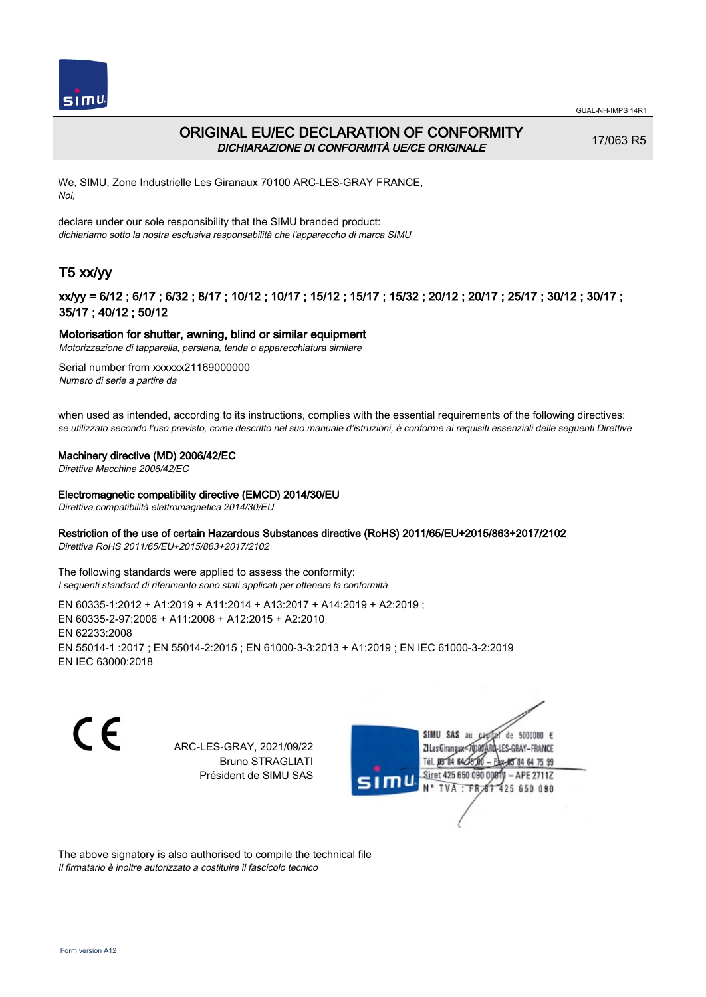



## ORIGINAL EU/EC DECLARATION OF CONFORMITY DICHIARAZIONE DI CONFORMITÀ UE/CE ORIGINALE

17/063 R5

We, SIMU, Zone Industrielle Les Giranaux 70100 ARC-LES-GRAY FRANCE, Noi,

declare under our sole responsibility that the SIMU branded product: dichiariamo sotto la nostra esclusiva responsabilità che l'appareccho di marca SIMU

# T5 xx/yy

## xx/yy = 6/12 ; 6/17 ; 6/32 ; 8/17 ; 10/12 ; 10/17 ; 15/12 ; 15/17 ; 15/32 ; 20/12 ; 20/17 ; 25/17 ; 30/12 ; 30/17 ; 35/17 ; 40/12 ; 50/12

### Motorisation for shutter, awning, blind or similar equipment

Motorizzazione di tapparella, persiana, tenda o apparecchiatura similare

Serial number from xxxxxx21169000000 Numero di serie a partire da

when used as intended, according to its instructions, complies with the essential requirements of the following directives: se utilizzato secondo l'uso previsto, come descritto nel suo manuale d'istruzioni, è conforme ai requisiti essenziali delle seguenti Direttive

#### Machinery directive (MD) 2006/42/EC

Direttiva Macchine 2006/42/EC

#### Electromagnetic compatibility directive (EMCD) 2014/30/EU

Direttiva compatibilità elettromagnetica 2014/30/EU

### Restriction of the use of certain Hazardous Substances directive (RoHS) 2011/65/EU+2015/863+2017/2102

Direttiva RoHS 2011/65/EU+2015/863+2017/2102

The following standards were applied to assess the conformity: I seguenti standard di riferimento sono stati applicati per ottenere la conformità

EN 60335‑1:2012 + A1:2019 + A11:2014 + A13:2017 + A14:2019 + A2:2019 ; EN 60335‑2‑97:2006 + A11:2008 + A12:2015 + A2:2010 EN 62233:2008 EN 55014‑1 :2017 ; EN 55014‑2:2015 ; EN 61000‑3‑3:2013 + A1:2019 ; EN IEC 61000‑3‑2:2019 EN IEC 63000:2018

C F

ARC-LES-GRAY, 2021/09/22 Bruno STRAGLIATI Président de SIMU SAS



The above signatory is also authorised to compile the technical file Il firmatario è inoltre autorizzato a costituire il fascicolo tecnico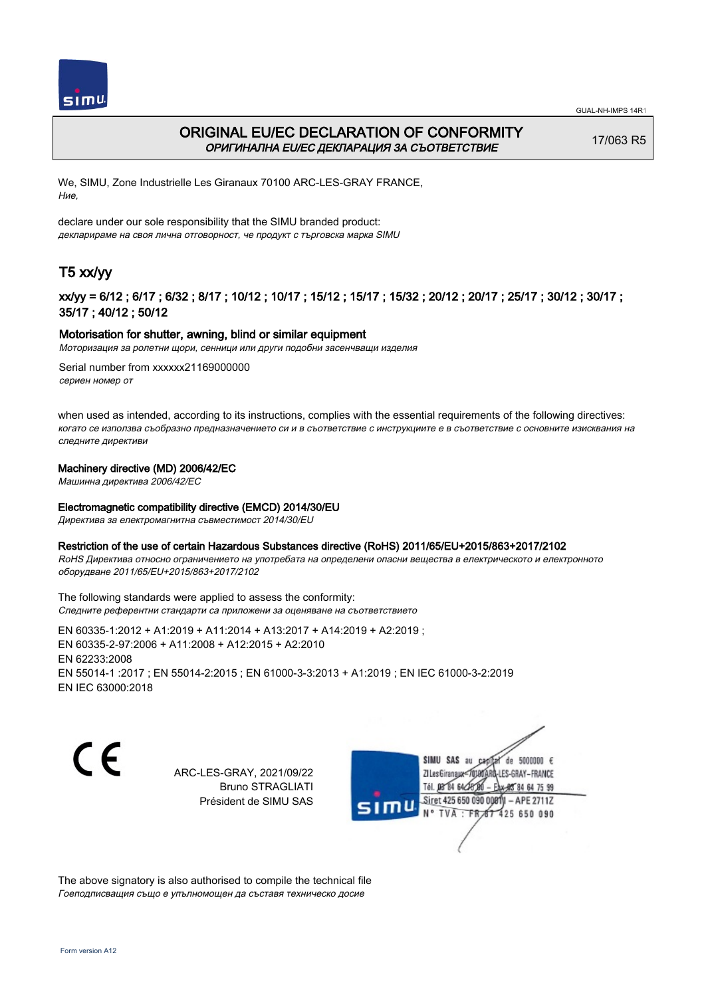



## ORIGINAL EU/EC DECLARATION OF CONFORMITY ОРИГИНАЛНА EU/EC ДЕКЛАРАЦИЯ ЗА СЪОТВЕТСТВИЕ

17/063 R5

We, SIMU, Zone Industrielle Les Giranaux 70100 ARC-LES-GRAY FRANCE, Ние,

declare under our sole responsibility that the SIMU branded product: декларираме на своя лична отговорност, че продукт с търговска марка SIMU

# T5 xx/yy

## xx/yy = 6/12 ; 6/17 ; 6/32 ; 8/17 ; 10/12 ; 10/17 ; 15/12 ; 15/17 ; 15/32 ; 20/12 ; 20/17 ; 25/17 ; 30/12 ; 30/17 ; 35/17 ; 40/12 ; 50/12

### Motorisation for shutter, awning, blind or similar equipment

Моторизация за ролетни щори, сенници или други подобни засенчващи изделия

Serial number from xxxxxx21169000000 сериен номер от

when used as intended, according to its instructions, complies with the essential requirements of the following directives: когато се използва съобразно предназначението си и в съответствие с инструкциите е в съответствие с основните изисквания на следните директиви

### Machinery directive (MD) 2006/42/EC

Машинна директива 2006/42/EC

#### Electromagnetic compatibility directive (EMCD) 2014/30/EU

Директива за електромагнитна съвместимост 2014/30/EU

#### Restriction of the use of certain Hazardous Substances directive (RoHS) 2011/65/EU+2015/863+2017/2102

RoHS Директива относно ограничението на употребата на определени опасни вещества в електрическото и електронното оборудване 2011/65/EU+2015/863+2017/2102

The following standards were applied to assess the conformity: Следните референтни стандарти са приложени за оценяване на съответствието

EN 60335‑1:2012 + A1:2019 + A11:2014 + A13:2017 + A14:2019 + A2:2019 ; EN 60335‑2‑97:2006 + A11:2008 + A12:2015 + A2:2010 EN 62233:2008 EN 55014‑1 :2017 ; EN 55014‑2:2015 ; EN 61000‑3‑3:2013 + A1:2019 ; EN IEC 61000‑3‑2:2019 EN IEC 63000:2018

C F

ARC-LES-GRAY, 2021/09/22 Bruno STRAGLIATI Président de SIMU SAS



The above signatory is also authorised to compile the technical file Гоеподписващия също е упълномощен да съставя техническо досие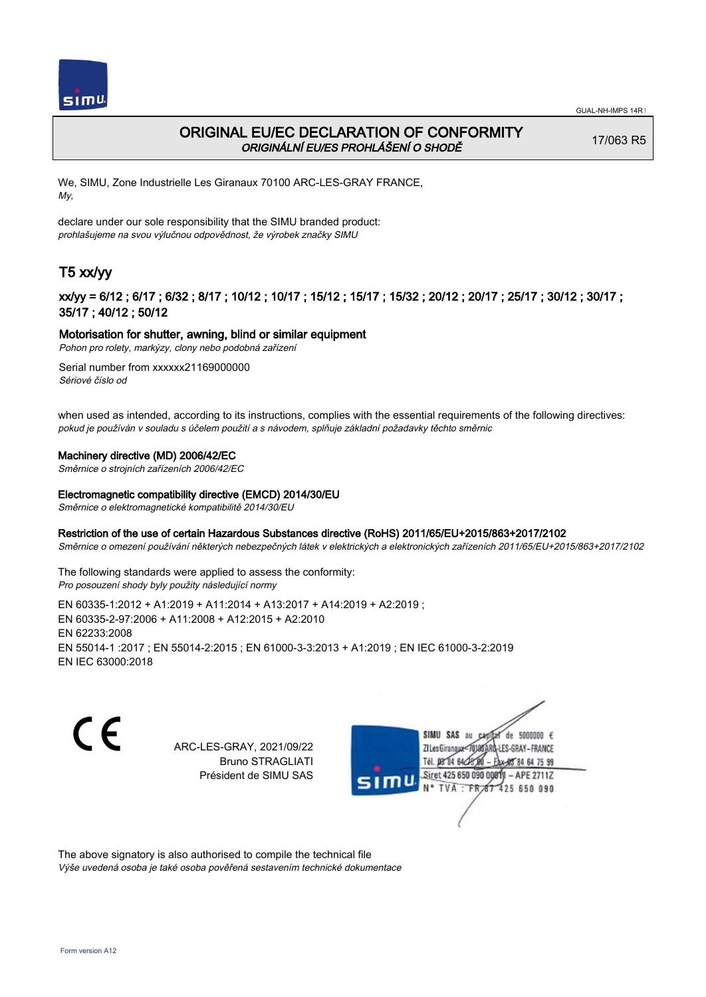

## ORIGINAL EU/EC DECLARATION OF CONFORMITY ORIGINÁLNÍ EU/ES PROHLÁŠENÍ O SHODĚ

17/063 R5

We, SIMU, Zone Industrielle Les Giranaux 70100 ARC-LES-GRAY FRANCE, My,

declare under our sole responsibility that the SIMU branded product: prohlašujeme na svou výlučnou odpovědnost, že výrobek značky SIMU

# T5 xx/yy

## xx/yy = 6/12 ; 6/17 ; 6/32 ; 8/17 ; 10/12 ; 10/17 ; 15/12 ; 15/17 ; 15/32 ; 20/12 ; 20/17 ; 25/17 ; 30/12 ; 30/17 ; 35/17 ; 40/12 ; 50/12

## Motorisation for shutter, awning, blind or similar equipment

Pohon pro rolety, markýzy, clony nebo podobná zařízení

Serial number from xxxxxx21169000000 Sériové číslo od

when used as intended, according to its instructions, complies with the essential requirements of the following directives: pokud je používán v souladu s účelem použití a s návodem, splňuje základní požadavky těchto směrnic

### Machinery directive (MD) 2006/42/EC

Směrnice o strojních zařízeních 2006/42/EC

### Electromagnetic compatibility directive (EMCD) 2014/30/EU

Směrnice o elektromagnetické kompatibilitě 2014/30/EU

### Restriction of the use of certain Hazardous Substances directive (RoHS) 2011/65/EU+2015/863+2017/2102

Směrnice o omezení používání některých nebezpečných látek v elektrických a elektronických zařízeních 2011/65/EU+2015/863+2017/2102

The following standards were applied to assess the conformity: Pro posouzení shody byly použity následující normy

EN 60335‑1:2012 + A1:2019 + A11:2014 + A13:2017 + A14:2019 + A2:2019 ; EN 60335‑2‑97:2006 + A11:2008 + A12:2015 + A2:2010 EN 62233:2008 EN 55014‑1 :2017 ; EN 55014‑2:2015 ; EN 61000‑3‑3:2013 + A1:2019 ; EN IEC 61000‑3‑2:2019 EN IEC 63000:2018

C F

ARC-LES-GRAY, 2021/09/22 Bruno STRAGLIATI Président de SIMU SAS



The above signatory is also authorised to compile the technical file

Výše uvedená osoba je také osoba pověřená sestavením technické dokumentace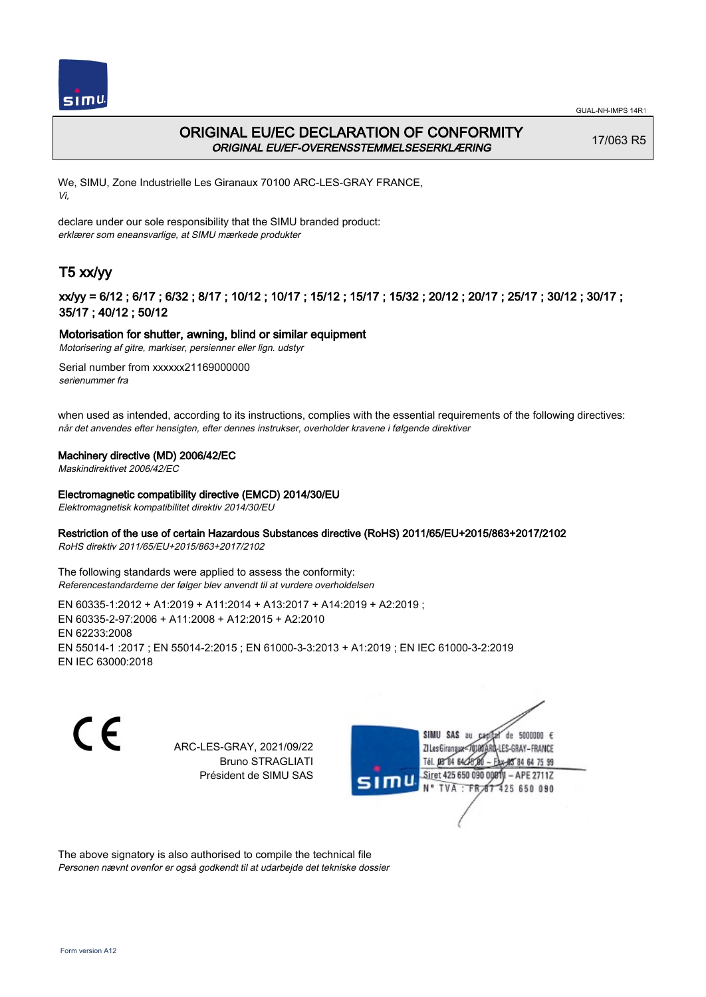



## ORIGINAL EU/EC DECLARATION OF CONFORMITY ORIGINAL EU/EF-OVERENSSTEMMELSESERKLÆRING

17/063 R5

We, SIMU, Zone Industrielle Les Giranaux 70100 ARC-LES-GRAY FRANCE, Vi,

declare under our sole responsibility that the SIMU branded product: erklærer som eneansvarlige, at SIMU mærkede produkter

# T5 xx/yy

## xx/yy = 6/12 ; 6/17 ; 6/32 ; 8/17 ; 10/12 ; 10/17 ; 15/12 ; 15/17 ; 15/32 ; 20/12 ; 20/17 ; 25/17 ; 30/12 ; 30/17 ; 35/17 ; 40/12 ; 50/12

## Motorisation for shutter, awning, blind or similar equipment

Motorisering af gitre, markiser, persienner eller lign. udstyr

Serial number from xxxxxx21169000000 serienummer fra

when used as intended, according to its instructions, complies with the essential requirements of the following directives: når det anvendes efter hensigten, efter dennes instrukser, overholder kravene i følgende direktiver

### Machinery directive (MD) 2006/42/EC

Maskindirektivet 2006/42/EC

### Electromagnetic compatibility directive (EMCD) 2014/30/EU

Elektromagnetisk kompatibilitet direktiv 2014/30/EU

### Restriction of the use of certain Hazardous Substances directive (RoHS) 2011/65/EU+2015/863+2017/2102

RoHS direktiv 2011/65/EU+2015/863+2017/2102

The following standards were applied to assess the conformity: Referencestandarderne der følger blev anvendt til at vurdere overholdelsen

EN 60335‑1:2012 + A1:2019 + A11:2014 + A13:2017 + A14:2019 + A2:2019 ; EN 60335‑2‑97:2006 + A11:2008 + A12:2015 + A2:2010 EN 62233:2008 EN 55014‑1 :2017 ; EN 55014‑2:2015 ; EN 61000‑3‑3:2013 + A1:2019 ; EN IEC 61000‑3‑2:2019 EN IEC 63000:2018

C F

ARC-LES-GRAY, 2021/09/22 Bruno STRAGLIATI Président de SIMU SAS



The above signatory is also authorised to compile the technical file Personen nævnt ovenfor er også godkendt til at udarbejde det tekniske dossier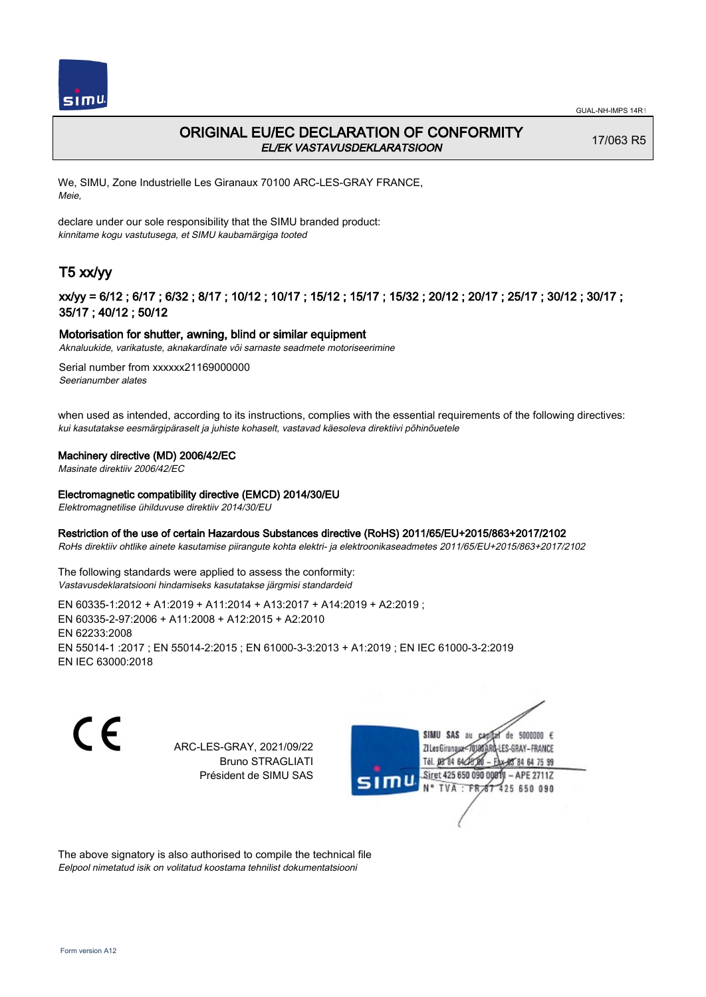

## ORIGINAL EU/EC DECLARATION OF CONFORMITY EL/EK VASTAVUSDEKLARATSIOON

17/063 R5

We, SIMU, Zone Industrielle Les Giranaux 70100 ARC-LES-GRAY FRANCE, Meie,

declare under our sole responsibility that the SIMU branded product: kinnitame kogu vastutusega, et SIMU kaubamärgiga tooted

# T5 xx/yy

## xx/yy = 6/12 ; 6/17 ; 6/32 ; 8/17 ; 10/12 ; 10/17 ; 15/12 ; 15/17 ; 15/32 ; 20/12 ; 20/17 ; 25/17 ; 30/12 ; 30/17 ; 35/17 ; 40/12 ; 50/12

### Motorisation for shutter, awning, blind or similar equipment

Aknaluukide, varikatuste, aknakardinate või sarnaste seadmete motoriseerimine

Serial number from xxxxxx21169000000 Seerianumber alates

when used as intended, according to its instructions, complies with the essential requirements of the following directives: kui kasutatakse eesmärgipäraselt ja juhiste kohaselt, vastavad käesoleva direktiivi põhinõuetele

#### Machinery directive (MD) 2006/42/EC

Masinate direktiiv 2006/42/EC

#### Electromagnetic compatibility directive (EMCD) 2014/30/EU

Elektromagnetilise ühilduvuse direktiiv 2014/30/EU

#### Restriction of the use of certain Hazardous Substances directive (RoHS) 2011/65/EU+2015/863+2017/2102

RoHs direktiiv ohtlike ainete kasutamise piirangute kohta elektri- ja elektroonikaseadmetes 2011/65/EU+2015/863+2017/2102

The following standards were applied to assess the conformity: Vastavusdeklaratsiooni hindamiseks kasutatakse järgmisi standardeid

EN 60335‑1:2012 + A1:2019 + A11:2014 + A13:2017 + A14:2019 + A2:2019 ; EN 60335‑2‑97:2006 + A11:2008 + A12:2015 + A2:2010 EN 62233:2008 EN 55014‑1 :2017 ; EN 55014‑2:2015 ; EN 61000‑3‑3:2013 + A1:2019 ; EN IEC 61000‑3‑2:2019 EN IEC 63000:2018

C F

ARC-LES-GRAY, 2021/09/22 Bruno STRAGLIATI Président de SIMU SAS



The above signatory is also authorised to compile the technical file Eelpool nimetatud isik on volitatud koostama tehnilist dokumentatsiooni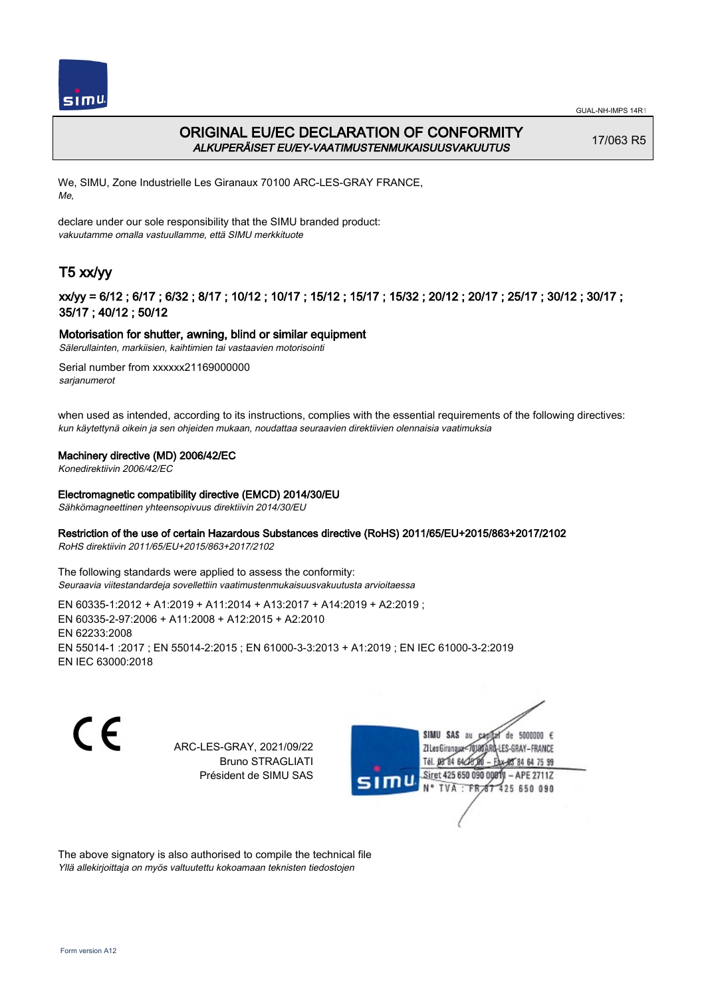

## ORIGINAL EU/EC DECLARATION OF CONFORMITY ALKUPERÄISET EU/EY-VAATIMUSTENMUKAISUUSVAKUUTUS

17/063 R5

We, SIMU, Zone Industrielle Les Giranaux 70100 ARC-LES-GRAY FRANCE, Me,

declare under our sole responsibility that the SIMU branded product: vakuutamme omalla vastuullamme, että SIMU merkkituote

# T5 xx/yy

## xx/yy = 6/12 ; 6/17 ; 6/32 ; 8/17 ; 10/12 ; 10/17 ; 15/12 ; 15/17 ; 15/32 ; 20/12 ; 20/17 ; 25/17 ; 30/12 ; 30/17 ; 35/17 ; 40/12 ; 50/12

### Motorisation for shutter, awning, blind or similar equipment

Sälerullainten, markiisien, kaihtimien tai vastaavien motorisointi

Serial number from xxxxxx21169000000 sarianumerot

when used as intended, according to its instructions, complies with the essential requirements of the following directives: kun käytettynä oikein ja sen ohjeiden mukaan, noudattaa seuraavien direktiivien olennaisia vaatimuksia

### Machinery directive (MD) 2006/42/EC

Konedirektiivin 2006/42/EC

### Electromagnetic compatibility directive (EMCD) 2014/30/EU

Sähkömagneettinen yhteensopivuus direktiivin 2014/30/EU

### Restriction of the use of certain Hazardous Substances directive (RoHS) 2011/65/EU+2015/863+2017/2102

RoHS direktiivin 2011/65/EU+2015/863+2017/2102

The following standards were applied to assess the conformity: Seuraavia viitestandardeja sovellettiin vaatimustenmukaisuusvakuutusta arvioitaessa

EN 60335‑1:2012 + A1:2019 + A11:2014 + A13:2017 + A14:2019 + A2:2019 ; EN 60335‑2‑97:2006 + A11:2008 + A12:2015 + A2:2010 EN 62233:2008 EN 55014‑1 :2017 ; EN 55014‑2:2015 ; EN 61000‑3‑3:2013 + A1:2019 ; EN IEC 61000‑3‑2:2019 EN IEC 63000:2018

C F

ARC-LES-GRAY, 2021/09/22 Bruno STRAGLIATI Président de SIMU SAS



The above signatory is also authorised to compile the technical file Yllä allekirjoittaja on myös valtuutettu kokoamaan teknisten tiedostojen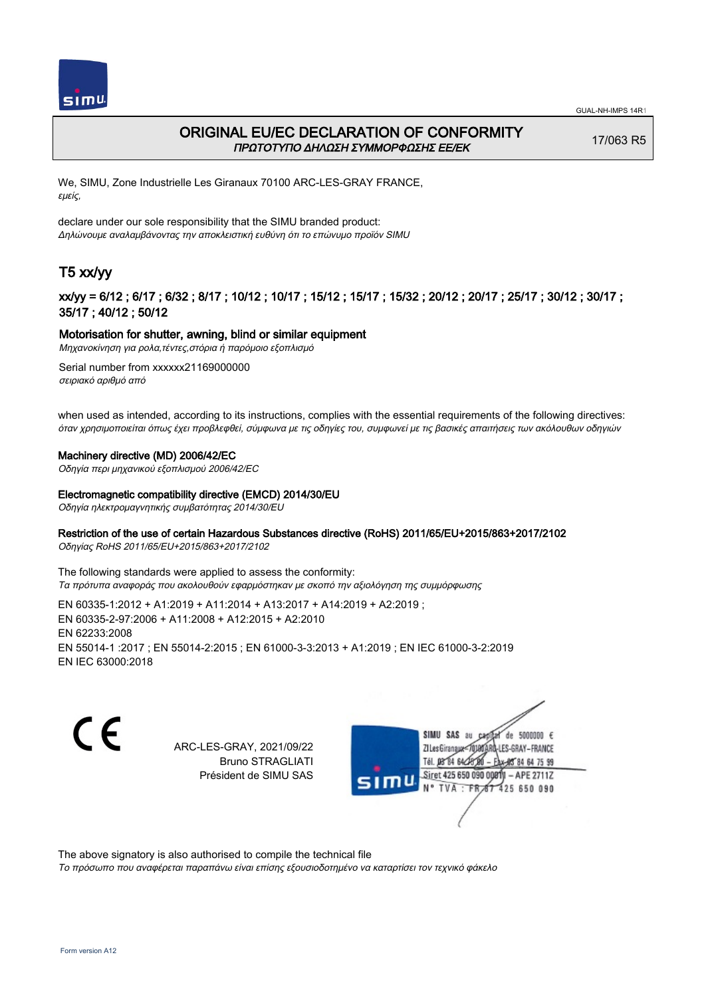



## ORIGINAL EU/EC DECLARATION OF CONFORMITY ΠΡΩΤΟΤΥΠΟ ΔΗΛΩΣΗ ΣΥΜΜΟΡΦΩΣΗΣ ΕΕ/EK

17/063 R5

We, SIMU, Zone Industrielle Les Giranaux 70100 ARC-LES-GRAY FRANCE, εμείς,

declare under our sole responsibility that the SIMU branded product: Δηλώνουμε αναλαμβάνοντας την αποκλειστική ευθύνη ότι το επώνυμο προϊόν SIMU

# T5 xx/yy

## xx/yy = 6/12 ; 6/17 ; 6/32 ; 8/17 ; 10/12 ; 10/17 ; 15/12 ; 15/17 ; 15/32 ; 20/12 ; 20/17 ; 25/17 ; 30/12 ; 30/17 ; 35/17 ; 40/12 ; 50/12

### Motorisation for shutter, awning, blind or similar equipment

Μηχανοκίνηση για ρολα,τέντες,στόρια ή παρόμοιο εξοπλισμό

Serial number from xxxxxx21169000000 σειριακό αριθμό από

when used as intended, according to its instructions, complies with the essential requirements of the following directives: όταν χρησιμοποιείται όπως έχει προβλεφθεί, σύμφωνα με τις οδηγίες του, συμφωνεί με τις βασικές απαιτήσεις των ακόλουθων οδηγιών

### Machinery directive (MD) 2006/42/EC

Οδηγία περι μηχανικού εξοπλισμού 2006/42/EC

### Electromagnetic compatibility directive (EMCD) 2014/30/EU

Οδηγία ηλεκτρομαγνητικής συμβατότητας 2014/30/EU

### Restriction of the use of certain Hazardous Substances directive (RoHS) 2011/65/EU+2015/863+2017/2102

Οδηγίας RoHS 2011/65/EU+2015/863+2017/2102

The following standards were applied to assess the conformity: Τα πρότυπα αναφοράς που ακολουθούν εφαρμόστηκαν με σκοπό την αξιολόγηση της συμμόρφωσης

EN 60335‑1:2012 + A1:2019 + A11:2014 + A13:2017 + A14:2019 + A2:2019 ; EN 60335‑2‑97:2006 + A11:2008 + A12:2015 + A2:2010 EN 62233:2008 EN 55014‑1 :2017 ; EN 55014‑2:2015 ; EN 61000‑3‑3:2013 + A1:2019 ; EN IEC 61000‑3‑2:2019 EN IEC 63000:2018

 $\epsilon$ 

ARC-LES-GRAY, 2021/09/22 Bruno STRAGLIATI Président de SIMU SAS



The above signatory is also authorised to compile the technical file

Το πρόσωπο που αναφέρεται παραπάνω είναι επίσης εξουσιοδοτημένο να καταρτίσει τον τεχνικό φάκελο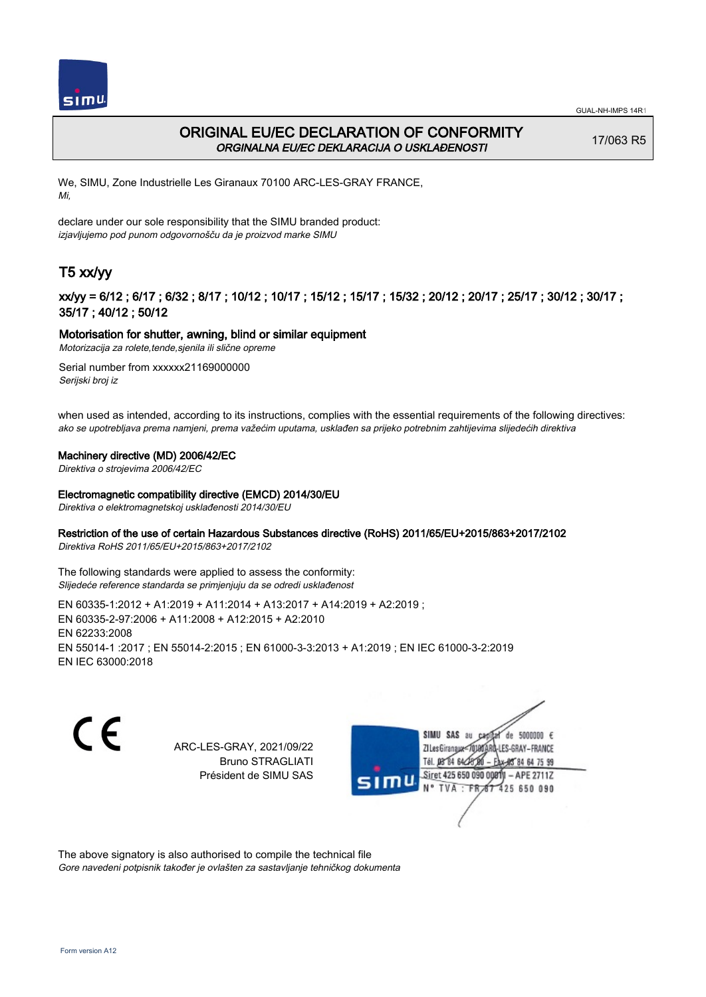

# ORIGINAL EU/EC DECLARATION OF CONFORMITY ORGINALNA EU/EC DEKLARACIJA O USKLAĐENOSTI

17/063 R5

We, SIMU, Zone Industrielle Les Giranaux 70100 ARC-LES-GRAY FRANCE, Mi,

declare under our sole responsibility that the SIMU branded product: izjavljujemo pod punom odgovornošču da je proizvod marke SIMU

# T5 xx/yy

## xx/yy = 6/12 ; 6/17 ; 6/32 ; 8/17 ; 10/12 ; 10/17 ; 15/12 ; 15/17 ; 15/32 ; 20/12 ; 20/17 ; 25/17 ; 30/12 ; 30/17 ; 35/17 ; 40/12 ; 50/12

## Motorisation for shutter, awning, blind or similar equipment

Motorizacija za rolete,tende,sjenila ili slične opreme Serial number from xxxxxx21169000000

Serijski broj iz

when used as intended, according to its instructions, complies with the essential requirements of the following directives: ako se upotrebljava prema namjeni, prema važećim uputama, usklađen sa prijeko potrebnim zahtijevima slijedećih direktiva

## Machinery directive (MD) 2006/42/EC

Direktiva o strojevima 2006/42/EC

### Electromagnetic compatibility directive (EMCD) 2014/30/EU

Direktiva o elektromagnetskoj usklađenosti 2014/30/EU

## Restriction of the use of certain Hazardous Substances directive (RoHS) 2011/65/EU+2015/863+2017/2102

Direktiva RoHS 2011/65/EU+2015/863+2017/2102

The following standards were applied to assess the conformity: Slijedeće reference standarda se primjenjuju da se odredi usklađenost

EN 60335‑1:2012 + A1:2019 + A11:2014 + A13:2017 + A14:2019 + A2:2019 ; EN 60335‑2‑97:2006 + A11:2008 + A12:2015 + A2:2010 EN 62233:2008 EN 55014‑1 :2017 ; EN 55014‑2:2015 ; EN 61000‑3‑3:2013 + A1:2019 ; EN IEC 61000‑3‑2:2019 EN IEC 63000:2018

C F

ARC-LES-GRAY, 2021/09/22 Bruno STRAGLIATI Président de SIMU SAS



The above signatory is also authorised to compile the technical file Gore navedeni potpisnik također je ovlašten za sastavljanje tehničkog dokumenta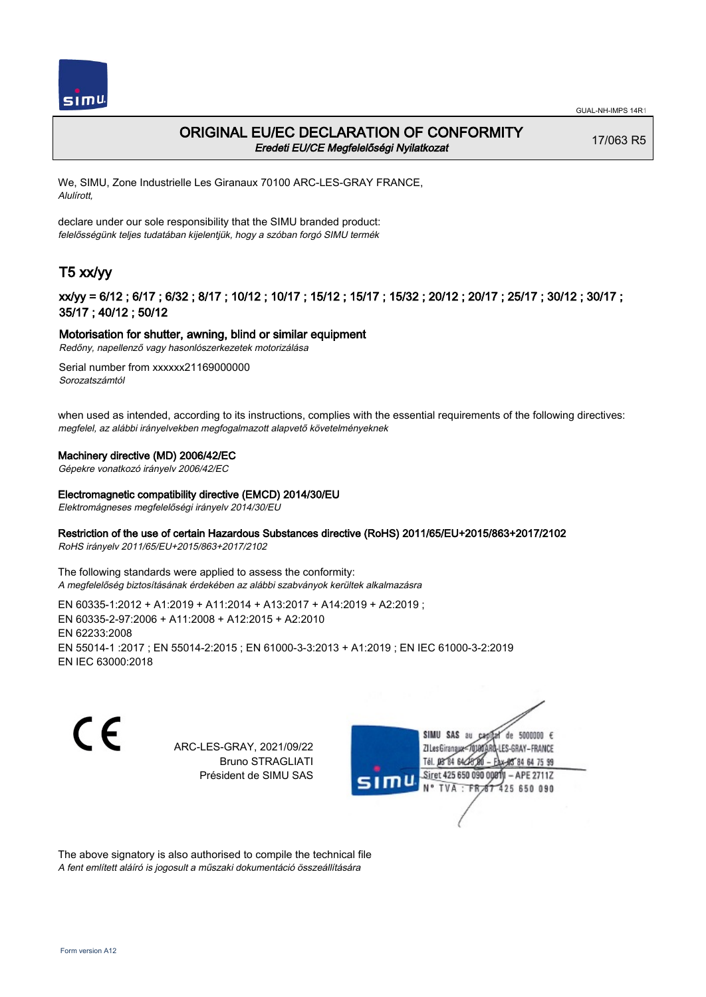

## ORIGINAL EU/EC DECLARATION OF CONFORMITY Eredeti EU/CE Megfelelőségi Nyilatkozat

17/063 R5

We, SIMU, Zone Industrielle Les Giranaux 70100 ARC-LES-GRAY FRANCE, Alulírott,

declare under our sole responsibility that the SIMU branded product: felelősségünk teljes tudatában kijelentjük, hogy a szóban forgó SIMU termék

# T5 xx/yy

## xx/yy = 6/12 ; 6/17 ; 6/32 ; 8/17 ; 10/12 ; 10/17 ; 15/12 ; 15/17 ; 15/32 ; 20/12 ; 20/17 ; 25/17 ; 30/12 ; 30/17 ; 35/17 ; 40/12 ; 50/12

### Motorisation for shutter, awning, blind or similar equipment

Redőny, napellenző vagy hasonlószerkezetek motorizálása

Serial number from xxxxxx21169000000 Sorozatszámtól

when used as intended, according to its instructions, complies with the essential requirements of the following directives: megfelel, az alábbi irányelvekben megfogalmazott alapvető követelményeknek

### Machinery directive (MD) 2006/42/EC

Gépekre vonatkozó irányelv 2006/42/EC

#### Electromagnetic compatibility directive (EMCD) 2014/30/EU

Elektromágneses megfelelőségi irányelv 2014/30/EU

### Restriction of the use of certain Hazardous Substances directive (RoHS) 2011/65/EU+2015/863+2017/2102

RoHS irányelv 2011/65/EU+2015/863+2017/2102

The following standards were applied to assess the conformity: A megfelelőség biztosításának érdekében az alábbi szabványok kerültek alkalmazásra

EN 60335‑1:2012 + A1:2019 + A11:2014 + A13:2017 + A14:2019 + A2:2019 ; EN 60335‑2‑97:2006 + A11:2008 + A12:2015 + A2:2010 EN 62233:2008 EN 55014‑1 :2017 ; EN 55014‑2:2015 ; EN 61000‑3‑3:2013 + A1:2019 ; EN IEC 61000‑3‑2:2019 EN IEC 63000:2018

C F

ARC-LES-GRAY, 2021/09/22 Bruno STRAGLIATI Président de SIMU SAS



The above signatory is also authorised to compile the technical file A fent említett aláíró is jogosult a műszaki dokumentáció összeállítására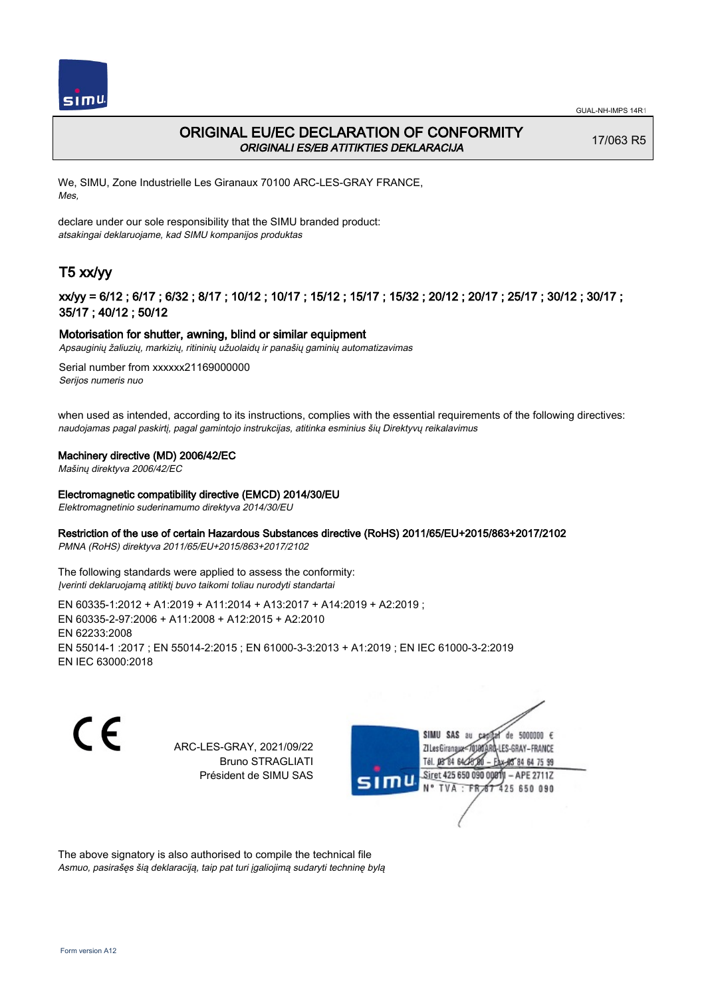

## ORIGINAL EU/EC DECLARATION OF CONFORMITY ORIGINALI ES/EB ATITIKTIES DEKLARACIJA

17/063 R5

We, SIMU, Zone Industrielle Les Giranaux 70100 ARC-LES-GRAY FRANCE, Mes,

declare under our sole responsibility that the SIMU branded product: atsakingai deklaruojame, kad SIMU kompanijos produktas

# T5 xx/yy

## xx/yy = 6/12 ; 6/17 ; 6/32 ; 8/17 ; 10/12 ; 10/17 ; 15/12 ; 15/17 ; 15/32 ; 20/12 ; 20/17 ; 25/17 ; 30/12 ; 30/17 ; 35/17 ; 40/12 ; 50/12

### Motorisation for shutter, awning, blind or similar equipment

Apsauginių žaliuzių, markizių, ritininių užuolaidų ir panašių gaminių automatizavimas

Serial number from xxxxxx21169000000 Serijos numeris nuo

when used as intended, according to its instructions, complies with the essential requirements of the following directives: naudojamas pagal paskirtį, pagal gamintojo instrukcijas, atitinka esminius šių Direktyvų reikalavimus

#### Machinery directive (MD) 2006/42/EC

Mašinų direktyva 2006/42/EC

#### Electromagnetic compatibility directive (EMCD) 2014/30/EU

Elektromagnetinio suderinamumo direktyva 2014/30/EU

### Restriction of the use of certain Hazardous Substances directive (RoHS) 2011/65/EU+2015/863+2017/2102

PMNA (RoHS) direktyva 2011/65/EU+2015/863+2017/2102

The following standards were applied to assess the conformity: Įverinti deklaruojamą atitiktį buvo taikomi toliau nurodyti standartai

EN 60335‑1:2012 + A1:2019 + A11:2014 + A13:2017 + A14:2019 + A2:2019 ; EN 60335‑2‑97:2006 + A11:2008 + A12:2015 + A2:2010 EN 62233:2008 EN 55014‑1 :2017 ; EN 55014‑2:2015 ; EN 61000‑3‑3:2013 + A1:2019 ; EN IEC 61000‑3‑2:2019 EN IEC 63000:2018

C F

ARC-LES-GRAY, 2021/09/22 Bruno STRAGLIATI Président de SIMU SAS



The above signatory is also authorised to compile the technical file Asmuo, pasirašęs šią deklaraciją, taip pat turi įgaliojimą sudaryti techninę bylą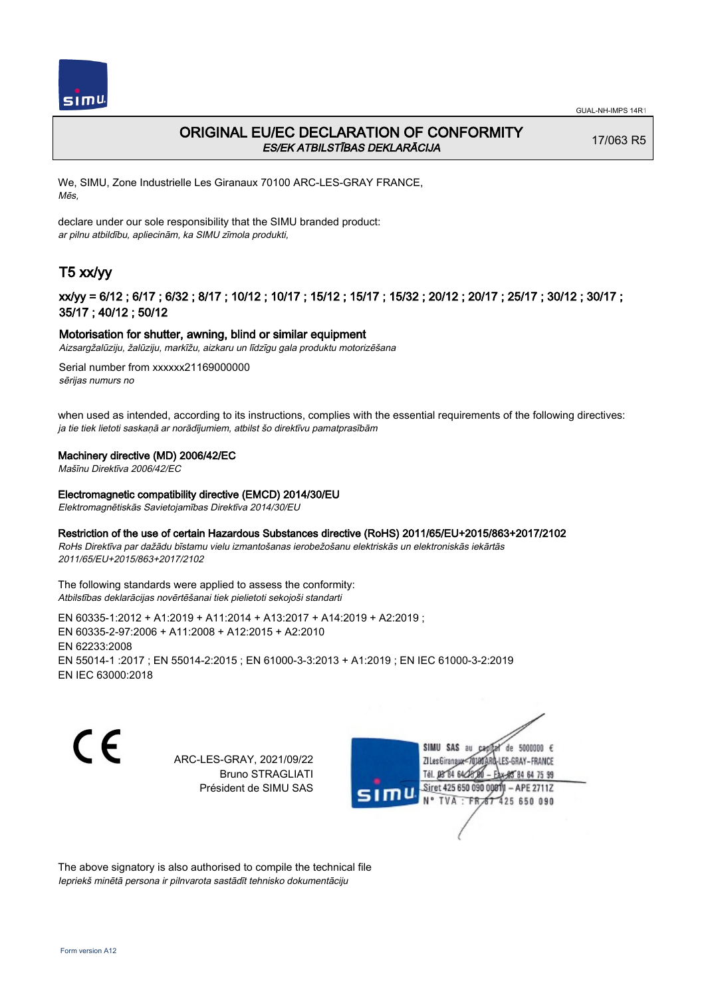

## ORIGINAL EU/EC DECLARATION OF CONFORMITY ES/EK ATBILSTĪBAS DEKLARĀCIJA

17/063 R5

We, SIMU, Zone Industrielle Les Giranaux 70100 ARC-LES-GRAY FRANCE, Mēs,

declare under our sole responsibility that the SIMU branded product: ar pilnu atbildību, apliecinām, ka SIMU zīmola produkti,

# T5 xx/yy

## xx/yy = 6/12 ; 6/17 ; 6/32 ; 8/17 ; 10/12 ; 10/17 ; 15/12 ; 15/17 ; 15/32 ; 20/12 ; 20/17 ; 25/17 ; 30/12 ; 30/17 ; 35/17 ; 40/12 ; 50/12

### Motorisation for shutter, awning, blind or similar equipment

Aizsargžalūziju, žalūziju, markīžu, aizkaru un līdzīgu gala produktu motorizēšana

Serial number from xxxxxx21169000000 sērijas numurs no

when used as intended, according to its instructions, complies with the essential requirements of the following directives: ja tie tiek lietoti saskaņā ar norādījumiem, atbilst šo direktīvu pamatprasībām

#### Machinery directive (MD) 2006/42/EC

Mašīnu Direktīva 2006/42/EC

### Electromagnetic compatibility directive (EMCD) 2014/30/EU

Elektromagnētiskās Savietojamības Direktīva 2014/30/EU

#### Restriction of the use of certain Hazardous Substances directive (RoHS) 2011/65/EU+2015/863+2017/2102

RoHs Direktīva par dažādu bīstamu vielu izmantošanas ierobežošanu elektriskās un elektroniskās iekārtās 2011/65/EU+2015/863+2017/2102

The following standards were applied to assess the conformity: Atbilstības deklarācijas novērtēšanai tiek pielietoti sekojoši standarti

EN 60335‑1:2012 + A1:2019 + A11:2014 + A13:2017 + A14:2019 + A2:2019 ; EN 60335‑2‑97:2006 + A11:2008 + A12:2015 + A2:2010 EN 62233:2008 EN 55014‑1 :2017 ; EN 55014‑2:2015 ; EN 61000‑3‑3:2013 + A1:2019 ; EN IEC 61000‑3‑2:2019 EN IEC 63000:2018

CE

ARC-LES-GRAY, 2021/09/22 Bruno STRAGLIATI Président de SIMU SAS

SIMU SAS au de 5000000  $\epsilon$ **ZILesGiranaux** ES-GRAY-FRANCE 64 75 99 Siret 425 650 090 00811  $-$  APE 2711Z TVA 425 650 090

The above signatory is also authorised to compile the technical file Iepriekš minētā persona ir pilnvarota sastādīt tehnisko dokumentāciju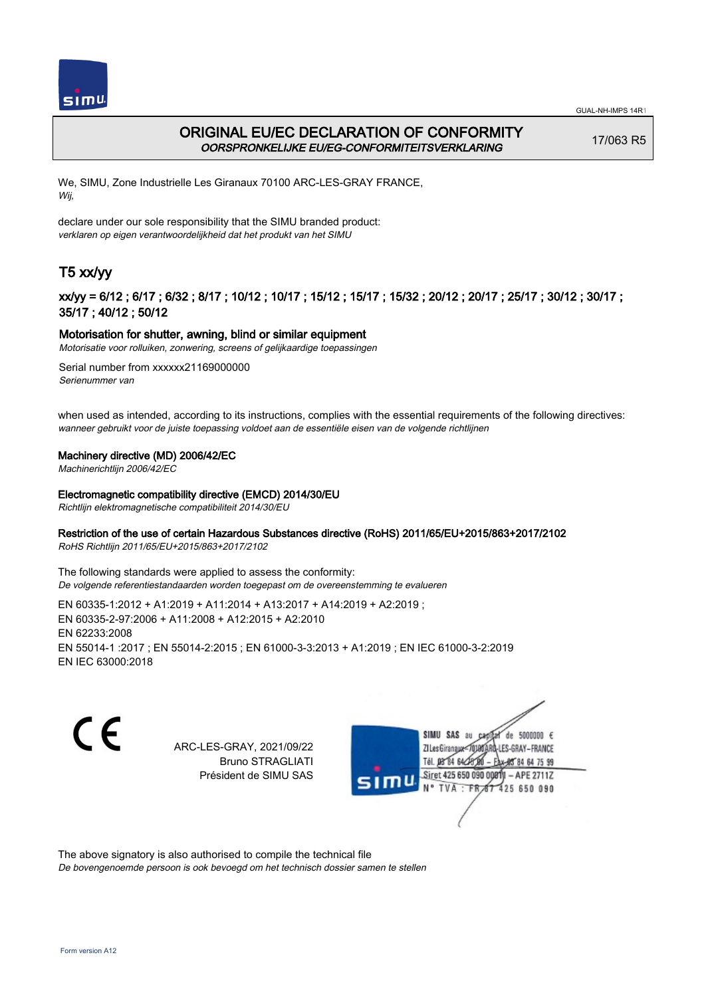

# ORIGINAL EU/EC DECLARATION OF CONFORMITY OORSPRONKELIJKE EU/EG-CONFORMITEITSVERKLARING

17/063 R5

We, SIMU, Zone Industrielle Les Giranaux 70100 ARC-LES-GRAY FRANCE, Wij,

declare under our sole responsibility that the SIMU branded product: verklaren op eigen verantwoordelijkheid dat het produkt van het SIMU

# T5 xx/yy

## xx/yy = 6/12 ; 6/17 ; 6/32 ; 8/17 ; 10/12 ; 10/17 ; 15/12 ; 15/17 ; 15/32 ; 20/12 ; 20/17 ; 25/17 ; 30/12 ; 30/17 ; 35/17 ; 40/12 ; 50/12

### Motorisation for shutter, awning, blind or similar equipment

Motorisatie voor rolluiken, zonwering, screens of gelijkaardige toepassingen

Serial number from xxxxxx21169000000 Serienummer van

when used as intended, according to its instructions, complies with the essential requirements of the following directives: wanneer gebruikt voor de juiste toepassing voldoet aan de essentiële eisen van de volgende richtlijnen

### Machinery directive (MD) 2006/42/EC

Machinerichtlijn 2006/42/EC

### Electromagnetic compatibility directive (EMCD) 2014/30/EU

Richtlijn elektromagnetische compatibiliteit 2014/30/EU

### Restriction of the use of certain Hazardous Substances directive (RoHS) 2011/65/EU+2015/863+2017/2102

RoHS Richtlijn 2011/65/EU+2015/863+2017/2102

The following standards were applied to assess the conformity: De volgende referentiestandaarden worden toegepast om de overeenstemming te evalueren

EN 60335‑1:2012 + A1:2019 + A11:2014 + A13:2017 + A14:2019 + A2:2019 ; EN 60335‑2‑97:2006 + A11:2008 + A12:2015 + A2:2010 EN 62233:2008 EN 55014‑1 :2017 ; EN 55014‑2:2015 ; EN 61000‑3‑3:2013 + A1:2019 ; EN IEC 61000‑3‑2:2019 EN IEC 63000:2018

C F

ARC-LES-GRAY, 2021/09/22 Bruno STRAGLIATI Président de SIMU SAS



The above signatory is also authorised to compile the technical file

De bovengenoemde persoon is ook bevoegd om het technisch dossier samen te stellen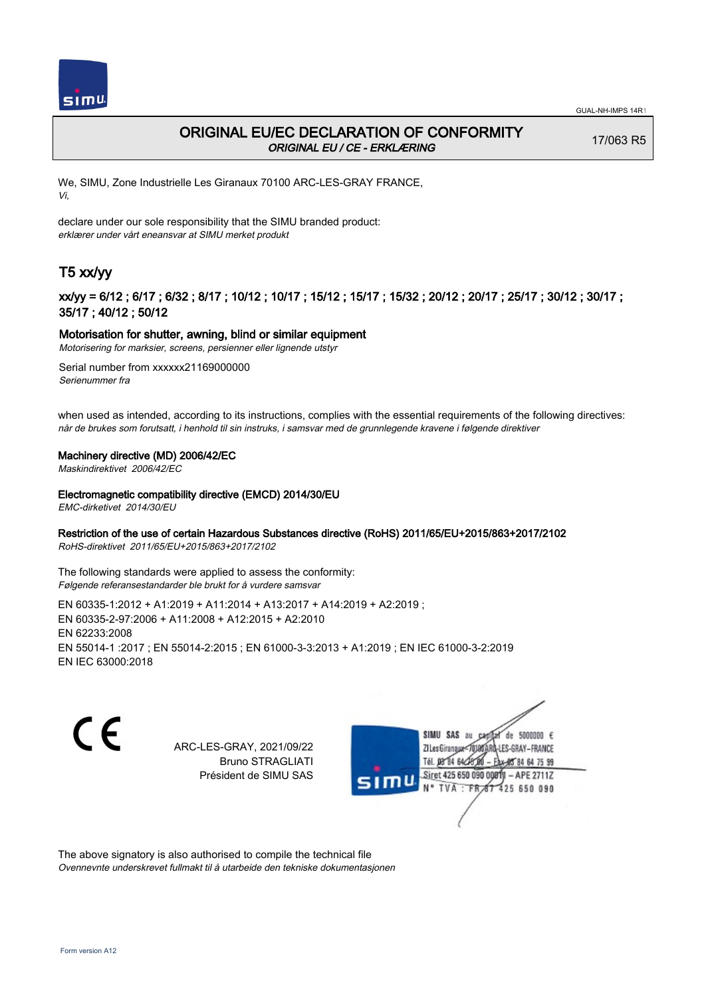

# ORIGINAL EU/EC DECLARATION OF CONFORMITY ORIGINAL EU / CE - ERKLÆRING

17/063 R5

We, SIMU, Zone Industrielle Les Giranaux 70100 ARC-LES-GRAY FRANCE, Vi,

declare under our sole responsibility that the SIMU branded product: erklærer under vårt eneansvar at SIMU merket produkt

# T5 xx/yy

## xx/yy = 6/12 ; 6/17 ; 6/32 ; 8/17 ; 10/12 ; 10/17 ; 15/12 ; 15/17 ; 15/32 ; 20/12 ; 20/17 ; 25/17 ; 30/12 ; 30/17 ; 35/17 ; 40/12 ; 50/12

### Motorisation for shutter, awning, blind or similar equipment

Motorisering for marksier, screens, persienner eller lignende utstyr

Serial number from xxxxxx21169000000 Serienummer fra

when used as intended, according to its instructions, complies with the essential requirements of the following directives: når de brukes som forutsatt, i henhold til sin instruks, i samsvar med de grunnlegende kravene i følgende direktiver

### Machinery directive (MD) 2006/42/EC

Maskindirektivet 2006/42/EC

### Electromagnetic compatibility directive (EMCD) 2014/30/EU

EMC-dirketivet 2014/30/EU

### Restriction of the use of certain Hazardous Substances directive (RoHS) 2011/65/EU+2015/863+2017/2102

RoHS-direktivet 2011/65/EU+2015/863+2017/2102

The following standards were applied to assess the conformity: Følgende referansestandarder ble brukt for å vurdere samsvar

EN 60335‑1:2012 + A1:2019 + A11:2014 + A13:2017 + A14:2019 + A2:2019 ; EN 60335‑2‑97:2006 + A11:2008 + A12:2015 + A2:2010 EN 62233:2008 EN 55014‑1 :2017 ; EN 55014‑2:2015 ; EN 61000‑3‑3:2013 + A1:2019 ; EN IEC 61000‑3‑2:2019 EN IEC 63000:2018

 $\epsilon$ 

ARC-LES-GRAY, 2021/09/22 Bruno STRAGLIATI Président de SIMU SAS



The above signatory is also authorised to compile the technical file Ovennevnte underskrevet fullmakt til å utarbeide den tekniske dokumentasjonen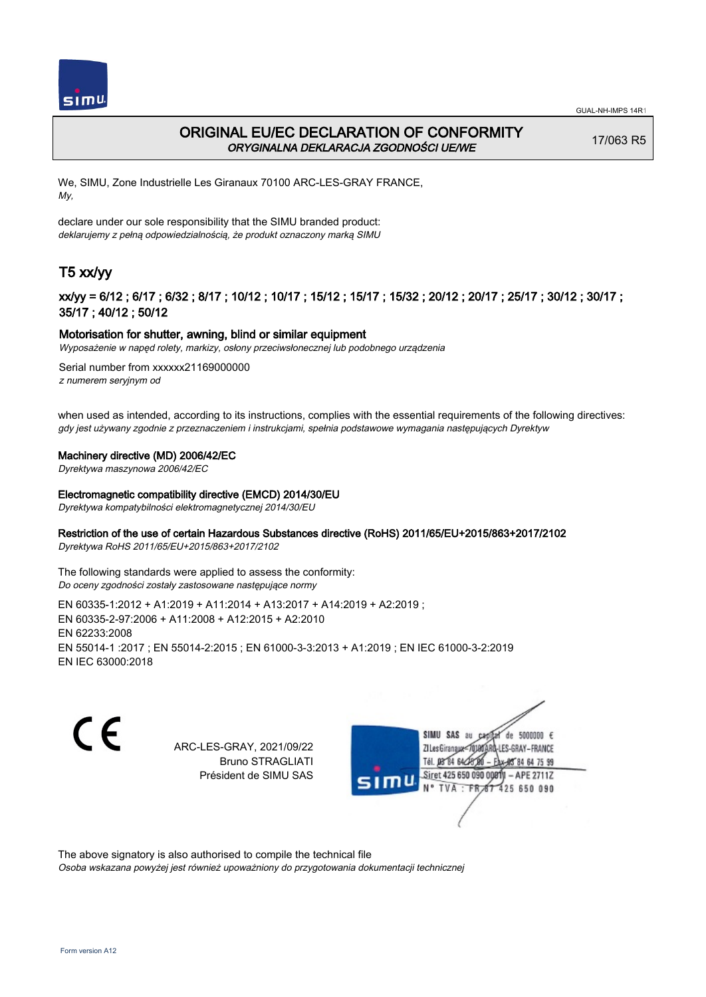

# ORIGINAL EU/EC DECLARATION OF CONFORMITY ORYGINALNA DEKLARACJA ZGODNOŚCI UE/WE

17/063 R5

We, SIMU, Zone Industrielle Les Giranaux 70100 ARC-LES-GRAY FRANCE, My,

declare under our sole responsibility that the SIMU branded product: deklarujemy z pełną odpowiedzialnością, że produkt oznaczony marką SIMU

# T5 xx/yy

## xx/yy = 6/12 ; 6/17 ; 6/32 ; 8/17 ; 10/12 ; 10/17 ; 15/12 ; 15/17 ; 15/32 ; 20/12 ; 20/17 ; 25/17 ; 30/12 ; 30/17 ; 35/17 ; 40/12 ; 50/12

### Motorisation for shutter, awning, blind or similar equipment

Wyposażenie w napęd rolety, markizy, osłony przeciwsłonecznej lub podobnego urządzenia

Serial number from xxxxxx21169000000 z numerem seryjnym od

when used as intended, according to its instructions, complies with the essential requirements of the following directives: gdy jest używany zgodnie z przeznaczeniem i instrukcjami, spełnia podstawowe wymagania następujących Dyrektyw

### Machinery directive (MD) 2006/42/EC

Dyrektywa maszynowa 2006/42/EC

### Electromagnetic compatibility directive (EMCD) 2014/30/EU

Dyrektywa kompatybilności elektromagnetycznej 2014/30/EU

### Restriction of the use of certain Hazardous Substances directive (RoHS) 2011/65/EU+2015/863+2017/2102

Dyrektywa RoHS 2011/65/EU+2015/863+2017/2102

The following standards were applied to assess the conformity: Do oceny zgodności zostały zastosowane następujące normy

EN 60335‑1:2012 + A1:2019 + A11:2014 + A13:2017 + A14:2019 + A2:2019 ; EN 60335‑2‑97:2006 + A11:2008 + A12:2015 + A2:2010 EN 62233:2008 EN 55014‑1 :2017 ; EN 55014‑2:2015 ; EN 61000‑3‑3:2013 + A1:2019 ; EN IEC 61000‑3‑2:2019 EN IEC 63000:2018

C F

ARC-LES-GRAY, 2021/09/22 Bruno STRAGLIATI Président de SIMU SAS



The above signatory is also authorised to compile the technical file

Osoba wskazana powyżej jest również upoważniony do przygotowania dokumentacji technicznej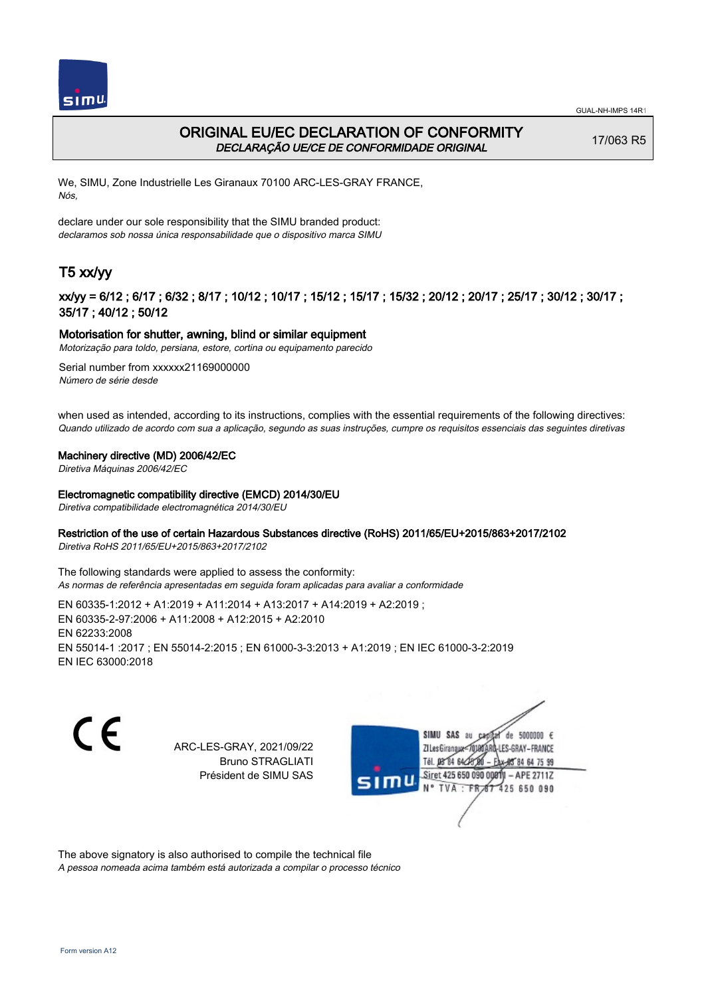



## ORIGINAL EU/EC DECLARATION OF CONFORMITY DECLARAÇÃO UE/CE DE CONFORMIDADE ORIGINAL

17/063 R5

We, SIMU, Zone Industrielle Les Giranaux 70100 ARC-LES-GRAY FRANCE, Nós,

declare under our sole responsibility that the SIMU branded product: declaramos sob nossa única responsabilidade que o dispositivo marca SIMU

# T5 xx/yy

## xx/yy = 6/12 ; 6/17 ; 6/32 ; 8/17 ; 10/12 ; 10/17 ; 15/12 ; 15/17 ; 15/32 ; 20/12 ; 20/17 ; 25/17 ; 30/12 ; 30/17 ; 35/17 ; 40/12 ; 50/12

### Motorisation for shutter, awning, blind or similar equipment

Motorização para toldo, persiana, estore, cortina ou equipamento parecido

Serial number from xxxxxx21169000000 Número de série desde

when used as intended, according to its instructions, complies with the essential requirements of the following directives: Quando utilizado de acordo com sua a aplicação, segundo as suas instruções, cumpre os requisitos essenciais das seguintes diretivas

### Machinery directive (MD) 2006/42/EC

Diretiva Máquinas 2006/42/EC

#### Electromagnetic compatibility directive (EMCD) 2014/30/EU

Diretiva compatibilidade electromagnética 2014/30/EU

### Restriction of the use of certain Hazardous Substances directive (RoHS) 2011/65/EU+2015/863+2017/2102

Diretiva RoHS 2011/65/EU+2015/863+2017/2102

The following standards were applied to assess the conformity: As normas de referência apresentadas em seguida foram aplicadas para avaliar a conformidade

EN 60335‑1:2012 + A1:2019 + A11:2014 + A13:2017 + A14:2019 + A2:2019 ; EN 60335‑2‑97:2006 + A11:2008 + A12:2015 + A2:2010 EN 62233:2008 EN 55014‑1 :2017 ; EN 55014‑2:2015 ; EN 61000‑3‑3:2013 + A1:2019 ; EN IEC 61000‑3‑2:2019 EN IEC 63000:2018

C F

ARC-LES-GRAY, 2021/09/22 Bruno STRAGLIATI Président de SIMU SAS



The above signatory is also authorised to compile the technical file

A pessoa nomeada acima também está autorizada a compilar o processo técnico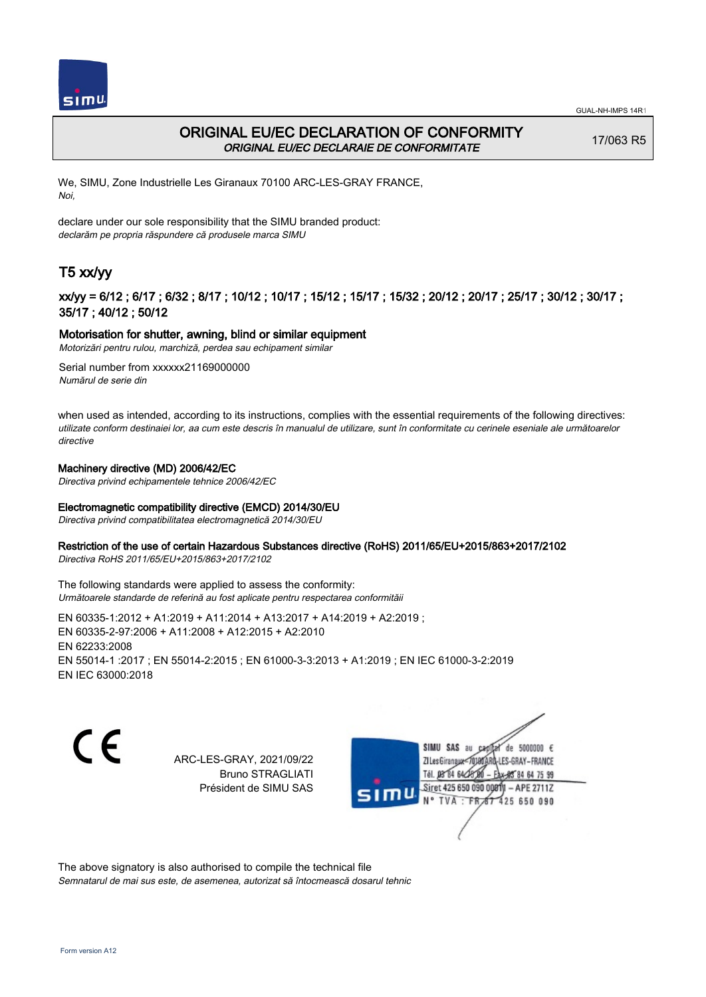



## ORIGINAL EU/EC DECLARATION OF CONFORMITY ORIGINAL EU/EC DECLARAIE DE CONFORMITATE

17/063 R5

We, SIMU, Zone Industrielle Les Giranaux 70100 ARC-LES-GRAY FRANCE, Noi,

declare under our sole responsibility that the SIMU branded product: declarăm pe propria răspundere că produsele marca SIMU

# T5 xx/yy

## xx/yy = 6/12 ; 6/17 ; 6/32 ; 8/17 ; 10/12 ; 10/17 ; 15/12 ; 15/17 ; 15/32 ; 20/12 ; 20/17 ; 25/17 ; 30/12 ; 30/17 ; 35/17 ; 40/12 ; 50/12

### Motorisation for shutter, awning, blind or similar equipment

Motorizări pentru rulou, marchiză, perdea sau echipament similar

Serial number from xxxxxx21169000000 Numărul de serie din

when used as intended, according to its instructions, complies with the essential requirements of the following directives: utilizate conform destinaiei lor, aa cum este descris în manualul de utilizare, sunt în conformitate cu cerinele eseniale ale următoarelor directive

### Machinery directive (MD) 2006/42/EC

Directiva privind echipamentele tehnice 2006/42/EC

## Electromagnetic compatibility directive (EMCD) 2014/30/EU

Directiva privind compatibilitatea electromagnetică 2014/30/EU

### Restriction of the use of certain Hazardous Substances directive (RoHS) 2011/65/EU+2015/863+2017/2102

Directiva RoHS 2011/65/EU+2015/863+2017/2102

The following standards were applied to assess the conformity: Următoarele standarde de referină au fost aplicate pentru respectarea conformităii

EN 60335‑1:2012 + A1:2019 + A11:2014 + A13:2017 + A14:2019 + A2:2019 ; EN 60335‑2‑97:2006 + A11:2008 + A12:2015 + A2:2010 EN 62233:2008 EN 55014‑1 :2017 ; EN 55014‑2:2015 ; EN 61000‑3‑3:2013 + A1:2019 ; EN IEC 61000‑3‑2:2019 EN IEC 63000:2018

C F

ARC-LES-GRAY, 2021/09/22 Bruno STRAGLIATI Président de SIMU SAS

SIMU SAS de 5000000 € **ZI Les Giranaux** ES-GRAY-FRANCE 64 75 99 Siret 425 650 090 00811  $-$  APE 2711Z 425 650 090

The above signatory is also authorised to compile the technical file Semnatarul de mai sus este, de asemenea, autorizat să întocmească dosarul tehnic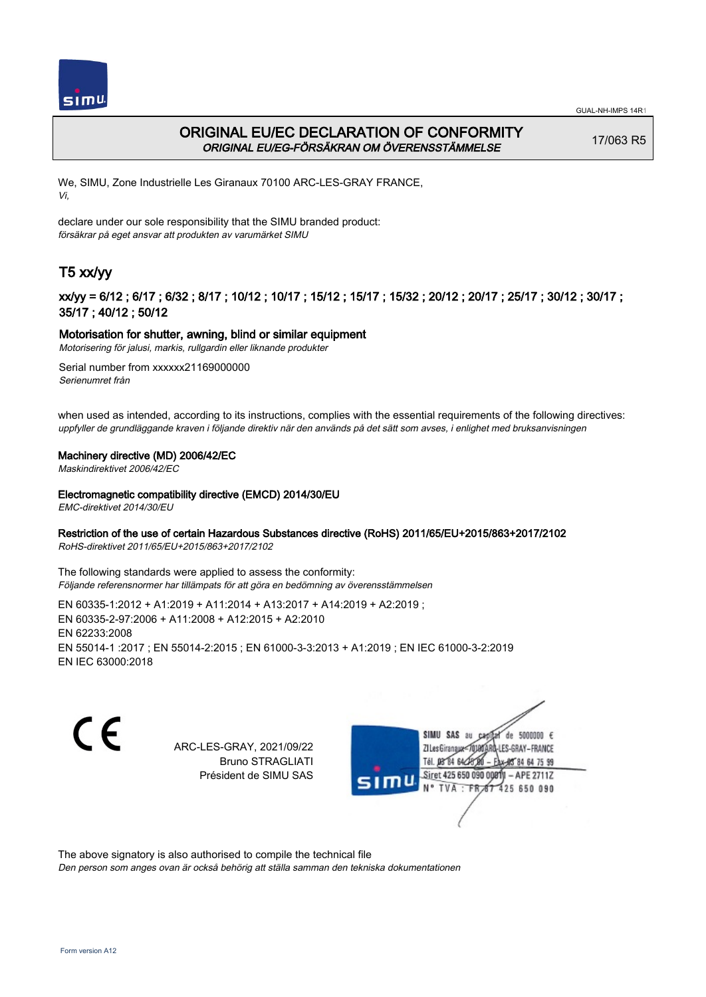

# ORIGINAL EU/EC DECLARATION OF CONFORMITY ORIGINAL EU/EG-FÖRSÄKRAN OM ÖVERENSSTÄMMELSE

17/063 R5

We, SIMU, Zone Industrielle Les Giranaux 70100 ARC-LES-GRAY FRANCE, Vi,

declare under our sole responsibility that the SIMU branded product: försäkrar på eget ansvar att produkten av varumärket SIMU

# T5 xx/yy

## xx/yy = 6/12 ; 6/17 ; 6/32 ; 8/17 ; 10/12 ; 10/17 ; 15/12 ; 15/17 ; 15/32 ; 20/12 ; 20/17 ; 25/17 ; 30/12 ; 30/17 ; 35/17 ; 40/12 ; 50/12

## Motorisation for shutter, awning, blind or similar equipment

Motorisering för jalusi, markis, rullgardin eller liknande produkter

Serial number from xxxxxx21169000000 Serienumret från

when used as intended, according to its instructions, complies with the essential requirements of the following directives: uppfyller de grundläggande kraven i följande direktiv när den används på det sätt som avses, i enlighet med bruksanvisningen

### Machinery directive (MD) 2006/42/EC

Maskindirektivet 2006/42/EC

### Electromagnetic compatibility directive (EMCD) 2014/30/EU

EMC-direktivet 2014/30/EU

## Restriction of the use of certain Hazardous Substances directive (RoHS) 2011/65/EU+2015/863+2017/2102

RoHS-direktivet 2011/65/EU+2015/863+2017/2102

The following standards were applied to assess the conformity: Följande referensnormer har tillämpats för att göra en bedömning av överensstämmelsen

EN 60335‑1:2012 + A1:2019 + A11:2014 + A13:2017 + A14:2019 + A2:2019 ; EN 60335‑2‑97:2006 + A11:2008 + A12:2015 + A2:2010 EN 62233:2008 EN 55014‑1 :2017 ; EN 55014‑2:2015 ; EN 61000‑3‑3:2013 + A1:2019 ; EN IEC 61000‑3‑2:2019 EN IEC 63000:2018

 $\epsilon$ 

ARC-LES-GRAY, 2021/09/22 Bruno STRAGLIATI Président de SIMU SAS



The above signatory is also authorised to compile the technical file

Den person som anges ovan är också behörig att ställa samman den tekniska dokumentationen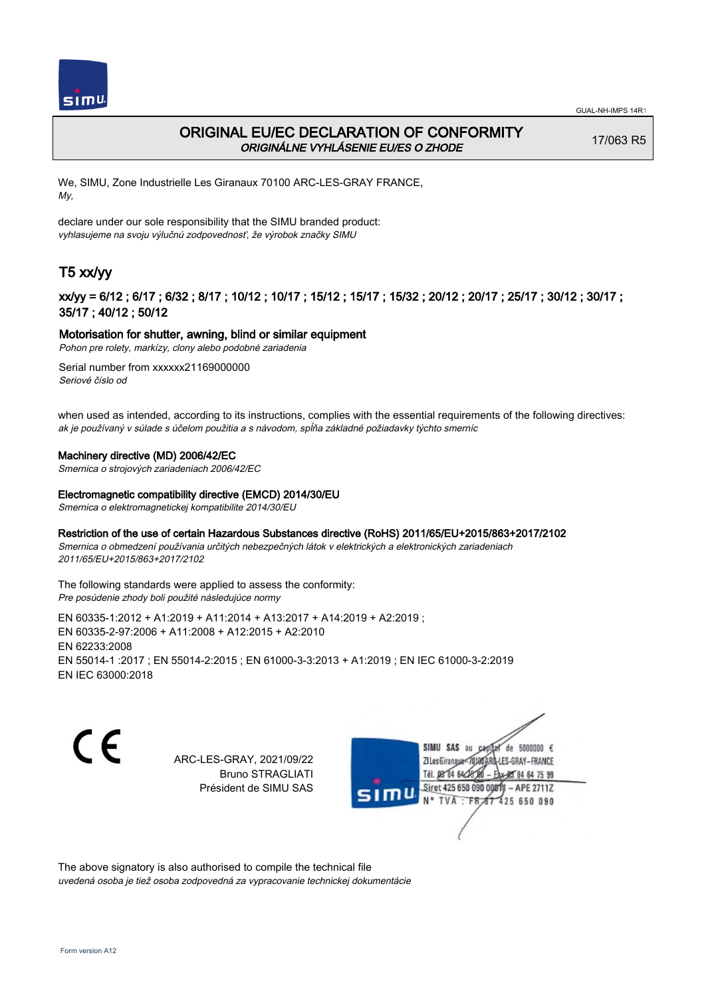

# ORIGINAL EU/EC DECLARATION OF CONFORMITY ORIGINÁLNE VYHLÁSENIE EU/ES O ZHODE

17/063 R5

We, SIMU, Zone Industrielle Les Giranaux 70100 ARC-LES-GRAY FRANCE, My,

declare under our sole responsibility that the SIMU branded product: vyhlasujeme na svoju výlučnú zodpovednosť, že výrobok značky SIMU

# T5 xx/yy

## xx/yy = 6/12 ; 6/17 ; 6/32 ; 8/17 ; 10/12 ; 10/17 ; 15/12 ; 15/17 ; 15/32 ; 20/12 ; 20/17 ; 25/17 ; 30/12 ; 30/17 ; 35/17 ; 40/12 ; 50/12

### Motorisation for shutter, awning, blind or similar equipment

Pohon pre rolety, markízy, clony alebo podobné zariadenia

Serial number from xxxxxx21169000000 Seriové číslo od

when used as intended, according to its instructions, complies with the essential requirements of the following directives: ak je používaný v súlade s účelom použitia a s návodom, spĺňa základné požiadavky týchto smerníc

### Machinery directive (MD) 2006/42/EC

Smernica o strojových zariadeniach 2006/42/EC

### Electromagnetic compatibility directive (EMCD) 2014/30/EU

Smernica o elektromagnetickej kompatibilite 2014/30/EU

#### Restriction of the use of certain Hazardous Substances directive (RoHS) 2011/65/EU+2015/863+2017/2102

Smernica o obmedzení používania určitých nebezpečných látok v elektrických a elektronických zariadeniach 2011/65/EU+2015/863+2017/2102

#### The following standards were applied to assess the conformity: Pre posúdenie zhody boli použité následujúce normy

EN 60335‑1:2012 + A1:2019 + A11:2014 + A13:2017 + A14:2019 + A2:2019 ; EN 60335‑2‑97:2006 + A11:2008 + A12:2015 + A2:2010 EN 62233:2008 EN 55014‑1 :2017 ; EN 55014‑2:2015 ; EN 61000‑3‑3:2013 + A1:2019 ; EN IEC 61000‑3‑2:2019 EN IEC 63000:2018

C F

ARC-LES-GRAY, 2021/09/22 Bruno STRAGLIATI Président de SIMU SAS

SIMU SAS de 5000000  $\epsilon$ **ZILes Giranaux** ES-GRAY-FRANCE 64 75 99 Siret 425 650 090 00811  $-$  APE 2711Z 425 650 090

The above signatory is also authorised to compile the technical file uvedená osoba je tiež osoba zodpovedná za vypracovanie technickej dokumentácie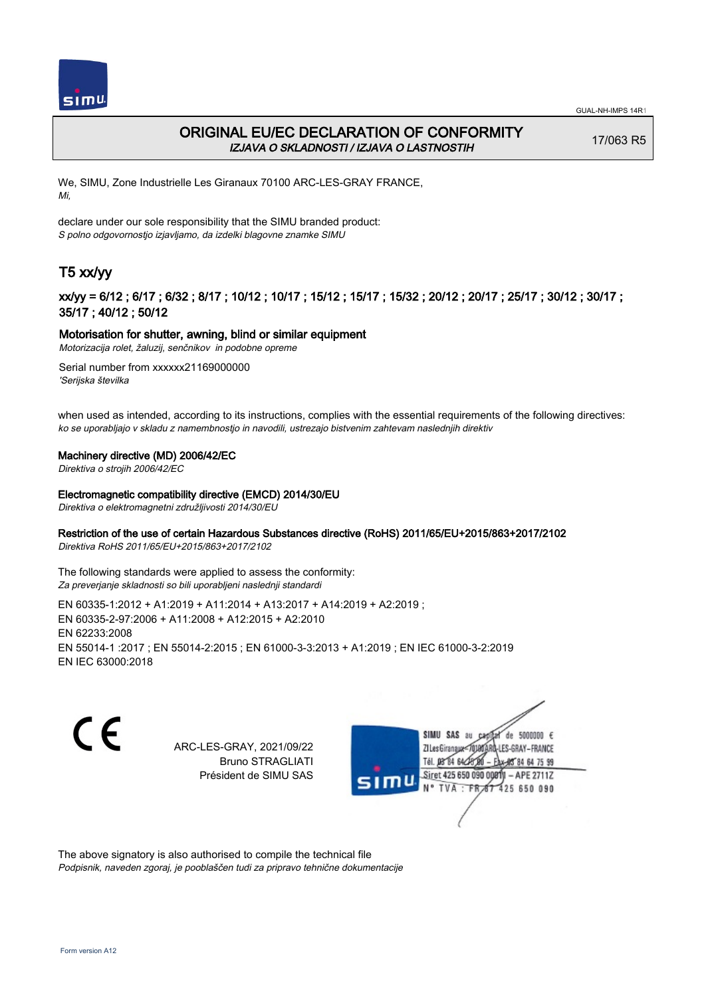



# ORIGINAL EU/EC DECLARATION OF CONFORMITY IZJAVA O SKLADNOSTI / IZJAVA O LASTNOSTIH

17/063 R5

We, SIMU, Zone Industrielle Les Giranaux 70100 ARC-LES-GRAY FRANCE, Mi,

declare under our sole responsibility that the SIMU branded product: S polno odgovornostjo izjavljamo, da izdelki blagovne znamke SIMU

# T5 xx/yy

## xx/yy = 6/12 ; 6/17 ; 6/32 ; 8/17 ; 10/12 ; 10/17 ; 15/12 ; 15/17 ; 15/32 ; 20/12 ; 20/17 ; 25/17 ; 30/12 ; 30/17 ; 35/17 ; 40/12 ; 50/12

## Motorisation for shutter, awning, blind or similar equipment

Motorizacija rolet, žaluzij, senčnikov in podobne opreme

Serial number from xxxxxx21169000000 'Serijska številka

when used as intended, according to its instructions, complies with the essential requirements of the following directives: ko se uporabljajo v skladu z namembnostjo in navodili, ustrezajo bistvenim zahtevam naslednjih direktiv

### Machinery directive (MD) 2006/42/EC

Direktiva o strojih 2006/42/EC

### Electromagnetic compatibility directive (EMCD) 2014/30/EU

Direktiva o elektromagnetni združljivosti 2014/30/EU

## Restriction of the use of certain Hazardous Substances directive (RoHS) 2011/65/EU+2015/863+2017/2102

Direktiva RoHS 2011/65/EU+2015/863+2017/2102

The following standards were applied to assess the conformity: Za preverjanje skladnosti so bili uporabljeni naslednji standardi

EN 60335‑1:2012 + A1:2019 + A11:2014 + A13:2017 + A14:2019 + A2:2019 ; EN 60335‑2‑97:2006 + A11:2008 + A12:2015 + A2:2010 EN 62233:2008 EN 55014‑1 :2017 ; EN 55014‑2:2015 ; EN 61000‑3‑3:2013 + A1:2019 ; EN IEC 61000‑3‑2:2019 EN IEC 63000:2018

C F

ARC-LES-GRAY, 2021/09/22 Bruno STRAGLIATI Président de SIMU SAS



The above signatory is also authorised to compile the technical file Podpisnik, naveden zgoraj, je pooblaščen tudi za pripravo tehnične dokumentacije